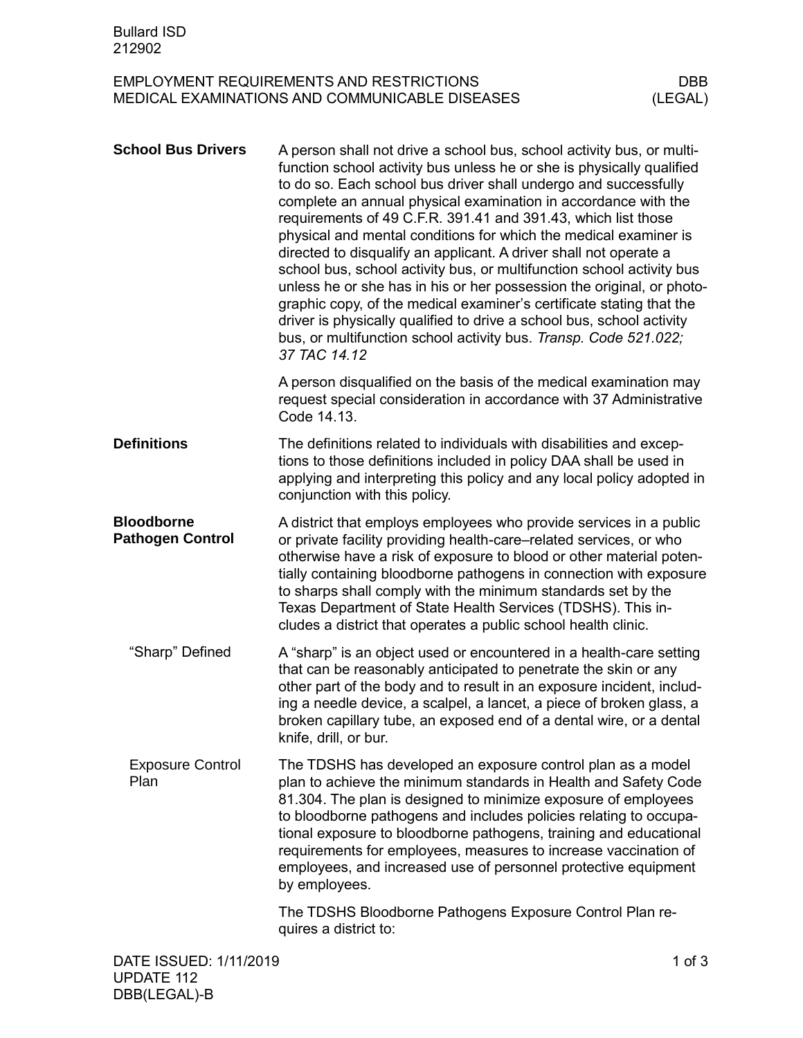## EMPLOYMENT REQUIREMENTS AND RESTRICTIONS DBB<br>MEDICAL EXAMINATIONS AND COMMUNICABLE DISEASES (LEGAL) MEDICAL EXAMINATIONS AND COMMUNICABLE DISEASES

| <b>School Bus Drivers</b>                    | A person shall not drive a school bus, school activity bus, or multi-<br>function school activity bus unless he or she is physically qualified<br>to do so. Each school bus driver shall undergo and successfully<br>complete an annual physical examination in accordance with the<br>requirements of 49 C.F.R. 391.41 and 391.43, which list those<br>physical and mental conditions for which the medical examiner is<br>directed to disqualify an applicant. A driver shall not operate a<br>school bus, school activity bus, or multifunction school activity bus<br>unless he or she has in his or her possession the original, or photo-<br>graphic copy, of the medical examiner's certificate stating that the<br>driver is physically qualified to drive a school bus, school activity<br>bus, or multifunction school activity bus. Transp. Code 521.022;<br>37 TAC 14.12 |            |
|----------------------------------------------|--------------------------------------------------------------------------------------------------------------------------------------------------------------------------------------------------------------------------------------------------------------------------------------------------------------------------------------------------------------------------------------------------------------------------------------------------------------------------------------------------------------------------------------------------------------------------------------------------------------------------------------------------------------------------------------------------------------------------------------------------------------------------------------------------------------------------------------------------------------------------------------|------------|
|                                              | A person disqualified on the basis of the medical examination may<br>request special consideration in accordance with 37 Administrative<br>Code 14.13.                                                                                                                                                                                                                                                                                                                                                                                                                                                                                                                                                                                                                                                                                                                               |            |
| <b>Definitions</b>                           | The definitions related to individuals with disabilities and excep-<br>tions to those definitions included in policy DAA shall be used in<br>applying and interpreting this policy and any local policy adopted in<br>conjunction with this policy.                                                                                                                                                                                                                                                                                                                                                                                                                                                                                                                                                                                                                                  |            |
| <b>Bloodborne</b><br><b>Pathogen Control</b> | A district that employs employees who provide services in a public<br>or private facility providing health-care-related services, or who<br>otherwise have a risk of exposure to blood or other material poten-<br>tially containing bloodborne pathogens in connection with exposure<br>to sharps shall comply with the minimum standards set by the<br>Texas Department of State Health Services (TDSHS). This in-<br>cludes a district that operates a public school health clinic.                                                                                                                                                                                                                                                                                                                                                                                               |            |
| "Sharp" Defined                              | A "sharp" is an object used or encountered in a health-care setting<br>that can be reasonably anticipated to penetrate the skin or any<br>other part of the body and to result in an exposure incident, includ-<br>ing a needle device, a scalpel, a lancet, a piece of broken glass, a<br>broken capillary tube, an exposed end of a dental wire, or a dental<br>knife, drill, or bur.                                                                                                                                                                                                                                                                                                                                                                                                                                                                                              |            |
| <b>Exposure Control</b><br>Plan              | The TDSHS has developed an exposure control plan as a model<br>plan to achieve the minimum standards in Health and Safety Code<br>81.304. The plan is designed to minimize exposure of employees<br>to bloodborne pathogens and includes policies relating to occupa-<br>tional exposure to bloodborne pathogens, training and educational<br>requirements for employees, measures to increase vaccination of<br>employees, and increased use of personnel protective equipment<br>by employees.                                                                                                                                                                                                                                                                                                                                                                                     |            |
|                                              | The TDSHS Bloodborne Pathogens Exposure Control Plan re-<br>quires a district to:                                                                                                                                                                                                                                                                                                                                                                                                                                                                                                                                                                                                                                                                                                                                                                                                    |            |
| DATE ISSUED: 1/11/2019                       |                                                                                                                                                                                                                                                                                                                                                                                                                                                                                                                                                                                                                                                                                                                                                                                                                                                                                      | $1$ of $3$ |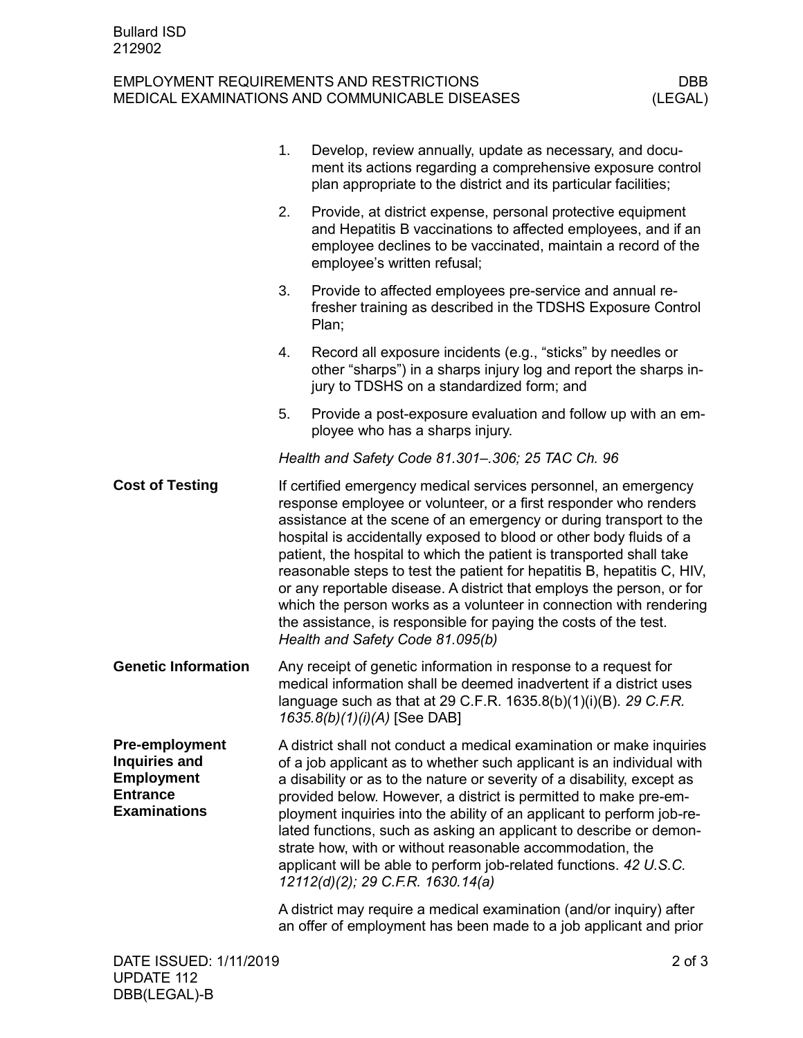## EMPLOYMENT REQUIREMENTS AND RESTRICTIONS DBB<br>MEDICAL EXAMINATIONS AND COMMUNICABLE DISEASES (LEGAL) MEDICAL EXAMINATIONS AND COMMUNICABLE DISEASES

|                                                                                                       | 1. | Develop, review annually, update as necessary, and docu-<br>ment its actions regarding a comprehensive exposure control<br>plan appropriate to the district and its particular facilities;                                                                                                                                                                                                                                                                                                                                                                                                                                                                                                 |
|-------------------------------------------------------------------------------------------------------|----|--------------------------------------------------------------------------------------------------------------------------------------------------------------------------------------------------------------------------------------------------------------------------------------------------------------------------------------------------------------------------------------------------------------------------------------------------------------------------------------------------------------------------------------------------------------------------------------------------------------------------------------------------------------------------------------------|
|                                                                                                       | 2. | Provide, at district expense, personal protective equipment<br>and Hepatitis B vaccinations to affected employees, and if an<br>employee declines to be vaccinated, maintain a record of the<br>employee's written refusal;                                                                                                                                                                                                                                                                                                                                                                                                                                                                |
|                                                                                                       | 3. | Provide to affected employees pre-service and annual re-<br>fresher training as described in the TDSHS Exposure Control<br>Plan;                                                                                                                                                                                                                                                                                                                                                                                                                                                                                                                                                           |
|                                                                                                       | 4. | Record all exposure incidents (e.g., "sticks" by needles or<br>other "sharps") in a sharps injury log and report the sharps in-<br>jury to TDSHS on a standardized form; and                                                                                                                                                                                                                                                                                                                                                                                                                                                                                                               |
|                                                                                                       | 5. | Provide a post-exposure evaluation and follow up with an em-<br>ployee who has a sharps injury.                                                                                                                                                                                                                                                                                                                                                                                                                                                                                                                                                                                            |
|                                                                                                       |    | Health and Safety Code 81.301-.306; 25 TAC Ch. 96                                                                                                                                                                                                                                                                                                                                                                                                                                                                                                                                                                                                                                          |
| <b>Cost of Testing</b>                                                                                |    | If certified emergency medical services personnel, an emergency<br>response employee or volunteer, or a first responder who renders<br>assistance at the scene of an emergency or during transport to the<br>hospital is accidentally exposed to blood or other body fluids of a<br>patient, the hospital to which the patient is transported shall take<br>reasonable steps to test the patient for hepatitis B, hepatitis C, HIV,<br>or any reportable disease. A district that employs the person, or for<br>which the person works as a volunteer in connection with rendering<br>the assistance, is responsible for paying the costs of the test.<br>Health and Safety Code 81.095(b) |
| <b>Genetic Information</b>                                                                            |    | Any receipt of genetic information in response to a request for<br>medical information shall be deemed inadvertent if a district uses<br>language such as that at 29 C.F.R. 1635.8(b)(1)(i)(B). 29 C.F.R.<br>1635.8(b)(1)(i)(A) [See DAB]                                                                                                                                                                                                                                                                                                                                                                                                                                                  |
| <b>Pre-employment</b><br>Inquiries and<br><b>Employment</b><br><b>Entrance</b><br><b>Examinations</b> |    | A district shall not conduct a medical examination or make inquiries<br>of a job applicant as to whether such applicant is an individual with<br>a disability or as to the nature or severity of a disability, except as<br>provided below. However, a district is permitted to make pre-em-<br>ployment inquiries into the ability of an applicant to perform job-re-<br>lated functions, such as asking an applicant to describe or demon-<br>strate how, with or without reasonable accommodation, the<br>applicant will be able to perform job-related functions. 42 U.S.C.<br>12112(d)(2); 29 C.F.R. 1630.14(a)                                                                       |
|                                                                                                       |    | A district may require a medical examination (and/or inquiry) after<br>an offer of employment has been made to a job applicant and prior                                                                                                                                                                                                                                                                                                                                                                                                                                                                                                                                                   |
|                                                                                                       |    |                                                                                                                                                                                                                                                                                                                                                                                                                                                                                                                                                                                                                                                                                            |